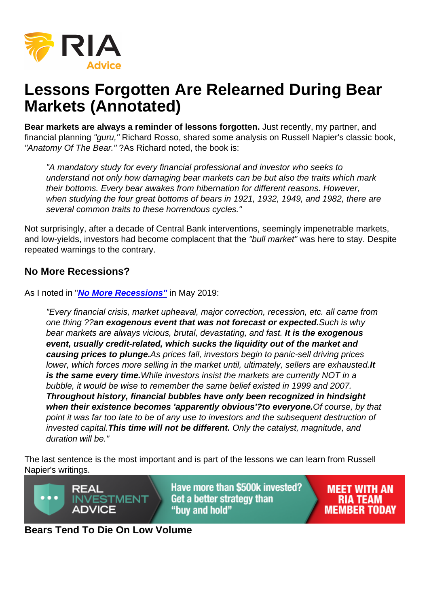# Lessons Forgotten Are Relearned During Bear Markets (Annotated)

Bear markets are always a reminder of lessons forgotten. Just recently, my partner, and financial planning "guru," Richard Rosso, shared some analysis on Russell Napier's classic book, "Anatomy Of The Bear." ?As Richard noted, the book is:

"A mandatory study for every financial professional and investor who seeks to understand not only how damaging bear markets can be but also the traits which mark their bottoms. Every bear awakes from hibernation for different reasons. However, when studying the four great bottoms of bears in 1921, 1932, 1949, and 1982, there are several common traits to these horrendous cycles."

Not surprisingly, after a decade of Central Bank interventions, seemingly impenetrable markets, and low-yields, investors had become complacent that the "bull market" was here to stay. Despite repeated warnings to the contrary.

### No More Recessions?

#### As I noted in ["No More Recessions"](https://realinvestmentadvice.com/has-the-fed-done-it-no-more-recessions/) in May 2019:

"Every financial crisis, market upheaval, major correction, recession, etc. all came from one thing ??an exogenous event that was not forecast or expected. Such is why bear markets are always vicious, brutal, devastating, and fast. It is the exogenous event, usually credit-related, which sucks the liquidity out of the market and causing prices to plunge. As prices fall, investors begin to panic-sell driving prices lower, which forces more selling in the market until, ultimately, sellers are exhausted.It is the same every time. While investors insist the markets are currently NOT in a bubble, it would be wise to remember the same belief existed in 1999 and 2007. Throughout history, financial bubbles have only been recognized in hindsight when their existence becomes 'apparently obvious'?to everyone. Of course, by that point it was far too late to be of any use to investors and the subsequent destruction of invested capital.This time will not be different. Only the catalyst, magnitude, and duration will be."

The last sentence is the most important and is part of the lessons we can learn from Russell Napier's writings.

Bears Tend To Die On Low Volume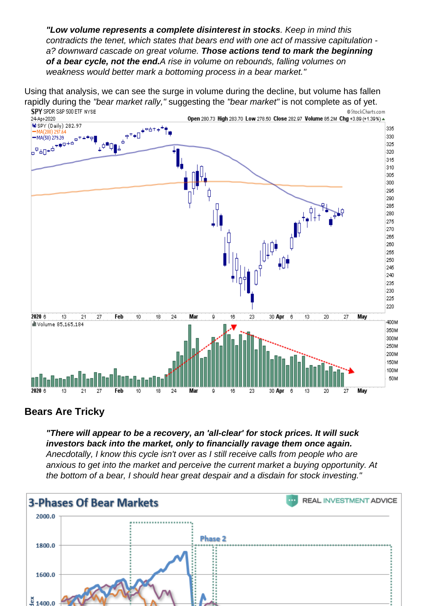"Low volume represents a complete disinterest in stocks . Keep in mind this contradicts the tenet, which states that bears end with one act of massive capitulation a? downward cascade on great volume. Those actions tend to mark the beginning of a bear cycle, not the end. A rise in volume on rebounds, falling volumes on weakness would better mark a bottoming process in a bear market."

Using that analysis, we can see the surge in volume during the decline, but volume has fallen rapidly during the "bear market rally," suggesting the "bear market" is not complete as of yet.

#### Bears Are Tricky

"There will appear to be a recovery, an 'all-clear' for stock prices. It will suck investors back into the market, only to financially ravage them once again. Anecdotally, I know this cycle isn't over as I still receive calls from people who are anxious to get into the market and perceive the current market a buying opportunity. At the bottom of a bear, I should hear great despair and a disdain for stock investing."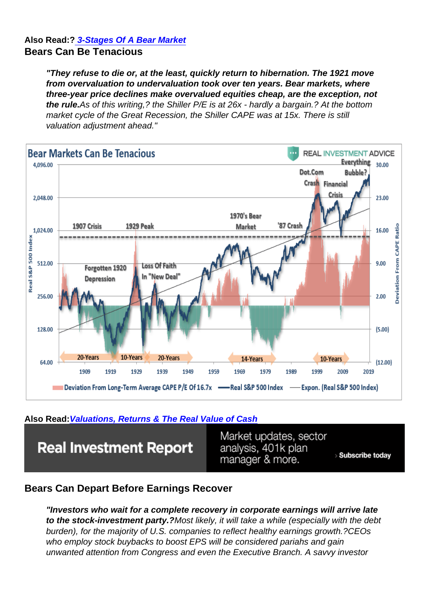Also Read:? [3-Stages Of A Bear Market](https://realinvestmentadvice.com/market-crash-is-it-over-or-is-it-the-revenant-2/) Bears Can Be Tenacious

> "They refuse to die or, at the least, quickly return to hibernation. The 1921 move from overvaluation to undervaluation took over ten years. Bear markets, where three-year price declines make overvalued equities cheap, are the exception, not the rule. As of this writing,? the Shiller P/E is at 26x - hardly a bargain.? At the bottom market cycle of the Great Recession, the Shiller CAPE was at 15x. There is still valuation adjustment ahead."

Also Read: [Valuations, Returns & The Real Value of Cash](https://realinvestmentadvice.com/valuations-returns-the-real-value-of-cash/)

Bears Can Depart Before Earnings Recover

"Investors who wait for a complete recovery in corporate earnings will arrive late to the stock-investment party.? Most likely, it will take a while (especially with the debt burden), for the majority of U.S. companies to reflect healthy earnings growth.?CEOs who employ stock buybacks to boost EPS will be considered pariahs and gain unwanted attention from Congress and even the Executive Branch. A savvy investor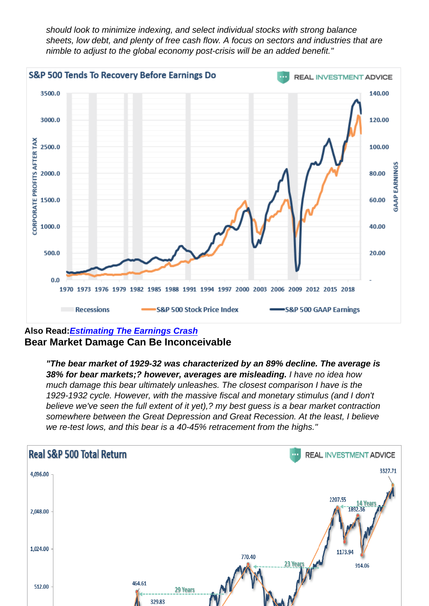should look to minimize indexing, and select individual stocks with strong balance sheets, low debt, and plenty of free cash flow. A focus on sectors and industries that are nimble to adjust to the global economy post-crisis will be an added benefit."

Also Read: [Estimating The Earnings Crash](https://realinvestmentadvice.com/fundamentally-speaking-estimating-the-earnings-crash/) Bear Market Damage Can Be Inconceivable

> "The bear market of 1929-32 was characterized by an 89% decline. The average is 38% for bear markets;? however, averages are misleading. I have no idea how much damage this bear ultimately unleashes. The closest comparison I have is the 1929-1932 cycle. However, with the massive fiscal and monetary stimulus (and I don't believe we've seen the full extent of it yet),? my best guess is a bear market contraction somewhere between the Great Depression and Great Recession. At the least, I believe we re-test lows, and this bear is a 40-45% retracement from the highs."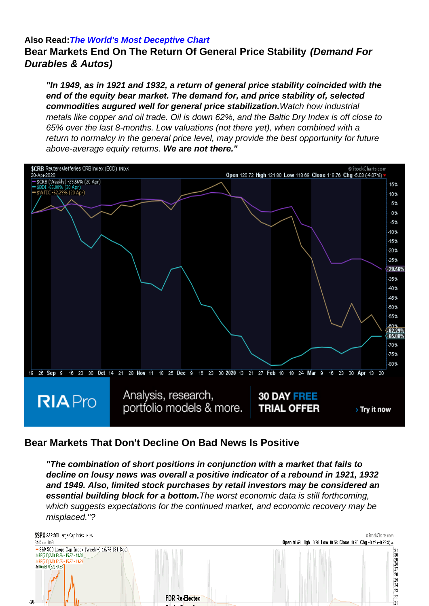Also Read: [The World's Most Deceptive Chart](https://realinvestmentadvice.com/the-worlds-most-deceptive-chart/) Bear Markets End On The Return Of General Price Stability (Demand For Durables & Autos)

"In 1949, as in 1921 and 1932, a return of general price stability coincided with the end of the equity bear market. The demand for, and price stability of, selected commodities augured well for general price stabilization. Watch how industrial metals like copper and oil trade. Oil is down 62%, and the Baltic Dry Index is off close to 65% over the last 8-months. Low valuations (not there yet), when combined with a return to normalcy in the general price level, may provide the best opportunity for future above-average equity returns. We are not there."

## Bear Markets That Don't Decline On Bad News Is Positive

"The combination of short positions in conjunction with a market that fails to decline on lousy news was overall a positive indicator of a rebound in 1921, 1932 and 1949. Also, limited stock purchases by retail investors may be considered an essential building block for a bottom. The worst economic data is still forthcoming, which suggests expectations for the continued market, and economic recovery may be misplaced."?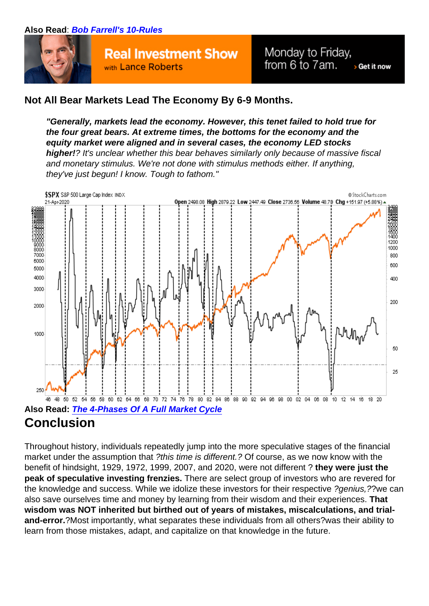Not All Bear Markets Lead The Economy By 6-9 Months.

"Generally, markets lead the economy. However, this tenet failed to hold true for the four great bears. At extreme times, the bottoms for the economy and the equity market were aligned and in several cases, the economy LED stocks higher! ? It's unclear whether this bear behaves similarly only because of massive fiscal and monetary stimulus. We're not done with stimulus methods either. If anything, they've just begun! I know. Tough to fathom."

Also Read: [The 4-Phases Of A Full Market Cycle](https://realinvestmentadvice.com/technically-speaking-the-4-phases-of-a-full-market-cycle/) **Conclusion** 

Throughout history, individuals repeatedly jump into the more speculative stages of the financial market under the assumption that ?this time is different.? Of course, as we now know with the benefit of hindsight, 1929, 1972, 1999, 2007, and 2020, were not different ? they were just the peak of speculative investing frenzies. There are select group of investors who are revered for the knowledge and success. While we idolize these investors for their respective ?genius,??we can also save ourselves time and money by learning from their wisdom and their experiences. That wisdom was NOT inherited but birthed out of years of mistakes, miscalculations, and trialand-error. ?Most importantly, what separates these individuals from all others?was their ability to learn from those mistakes, adapt, and capitalize on that knowledge in the future.